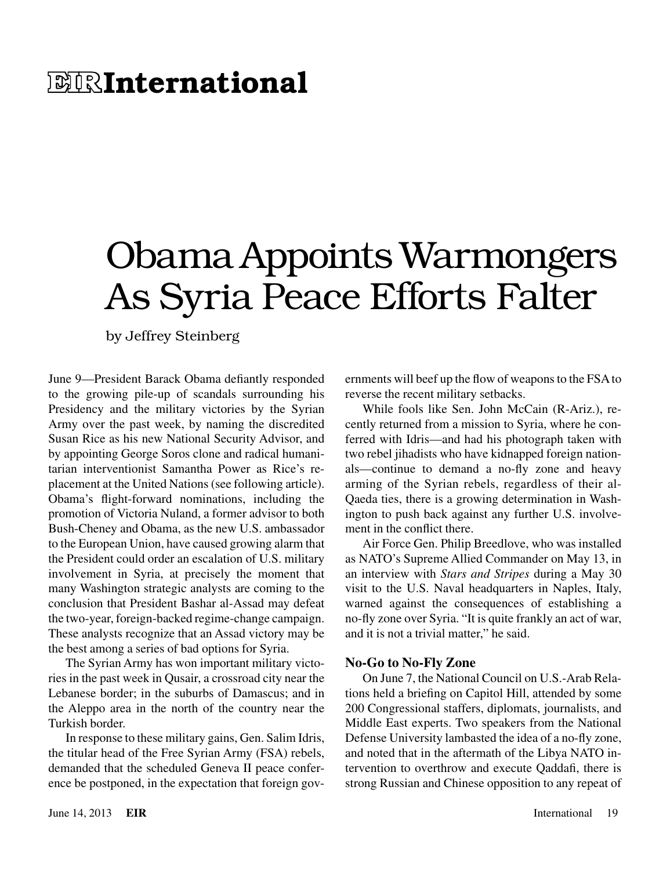# **E RInternational**

# Obama Appoints Warmongers As Syria Peace Efforts Falter

by Jeffrey Steinberg

June 9—President Barack Obama defiantly responded to the growing pile-up of scandals surrounding his Presidency and the military victories by the Syrian Army over the past week, by naming the discredited Susan Rice as his new National Security Advisor, and by appointing George Soros clone and radical humanitarian interventionist Samantha Power as Rice's replacement at the United Nations (see following article). Obama's flight-forward nominations, including the promotion of Victoria Nuland, a former advisor to both Bush-Cheney and Obama, as the new U.S. ambassador to the European Union, have caused growing alarm that the President could order an escalation of U.S. military involvement in Syria, at precisely the moment that many Washington strategic analysts are coming to the conclusion that President Bashar al-Assad may defeat the two-year, foreign-backed regime-change campaign. These analysts recognize that an Assad victory may be the best among a series of bad options for Syria.

The Syrian Army has won important military victories in the past week in Qusair, a crossroad city near the Lebanese border; in the suburbs of Damascus; and in the Aleppo area in the north of the country near the Turkish border.

In response to these military gains, Gen. Salim Idris, the titular head of the Free Syrian Army (FSA) rebels, demanded that the scheduled Geneva II peace conference be postponed, in the expectation that foreign governments will beef up the flow of weapons to the FSA to reverse the recent military setbacks.

While fools like Sen. John McCain (R-Ariz.), recently returned from a mission to Syria, where he conferred with Idris—and had his photograph taken with two rebel jihadists who have kidnapped foreign nationals—continue to demand a no-fly zone and heavy arming of the Syrian rebels, regardless of their al-Qaeda ties, there is a growing determination in Washington to push back against any further U.S. involvement in the conflict there.

Air Force Gen. Philip Breedlove, who was installed as NATO's Supreme Allied Commander on May 13, in an interview with *Stars and Stripes* during a May 30 visit to the U.S. Naval headquarters in Naples, Italy, warned against the consequences of establishing a no-fly zone over Syria. "It is quite frankly an act of war, and it is not a trivial matter," he said.

### **No-Go to No-Fly Zone**

On June 7, the National Council on U.S.-Arab Relations held a briefing on Capitol Hill, attended by some 200 Congressional staffers, diplomats, journalists, and Middle East experts. Two speakers from the National Defense University lambasted the idea of a no-fly zone, and noted that in the aftermath of the Libya NATO intervention to overthrow and execute Qaddafi, there is strong Russian and Chinese opposition to any repeat of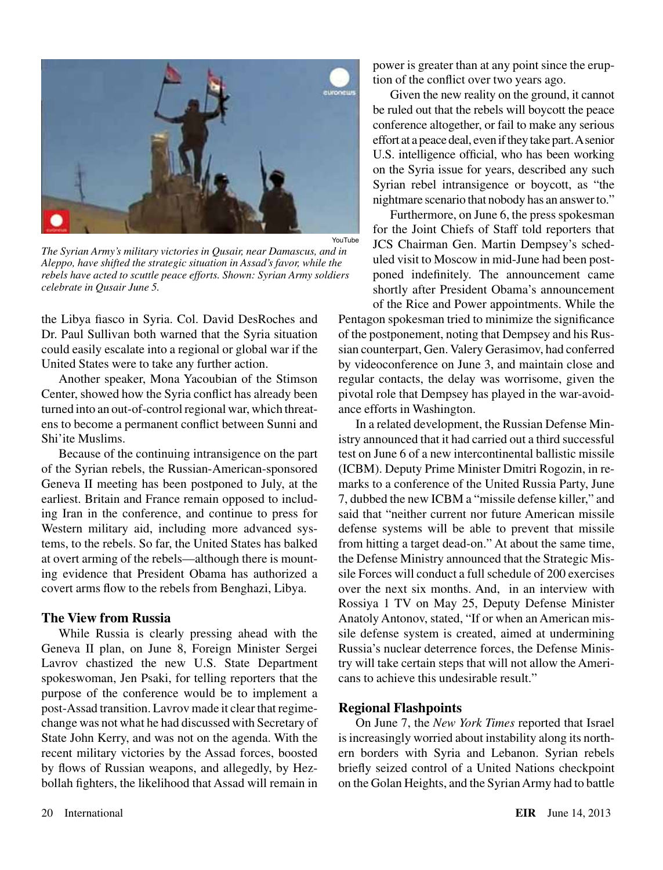

*The Syrian Army's military victories in Qusair, near Damascus, and in Aleppo, have shifted the strategic situation in Assad's favor, while the rebels have acted to scuttle peace efforts. Shown: Syrian Army soldiers celebrate in Qusair June 5.*

the Libya fiasco in Syria. Col. David DesRoches and Dr. Paul Sullivan both warned that the Syria situation could easily escalate into a regional or global war if the United States were to take any further action.

Another speaker, Mona Yacoubian of the Stimson Center, showed how the Syria conflict has already been turned into an out-of-control regional war, which threatens to become a permanent conflict between Sunni and Shi'ite Muslims.

Because of the continuing intransigence on the part of the Syrian rebels, the Russian-American-sponsored Geneva II meeting has been postponed to July, at the earliest. Britain and France remain opposed to including Iran in the conference, and continue to press for Western military aid, including more advanced systems, to the rebels. So far, the United States has balked at overt arming of the rebels—although there is mounting evidence that President Obama has authorized a covert arms flow to the rebels from Benghazi, Libya.

### **The View from Russia**

While Russia is clearly pressing ahead with the Geneva II plan, on June 8, Foreign Minister Sergei Lavrov chastized the new U.S. State Department spokeswoman, Jen Psaki, for telling reporters that the purpose of the conference would be to implement a post-Assad transition. Lavrov made it clear that regimechange was not what he had discussed with Secretary of State John Kerry, and was not on the agenda. With the recent military victories by the Assad forces, boosted by flows of Russian weapons, and allegedly, by Hezbollah fighters, the likelihood that Assad will remain in

power is greater than at any point since the eruption of the conflict over two years ago.

Given the new reality on the ground, it cannot be ruled out that the rebels will boycott the peace conference altogether, or fail to make any serious effort at a peace deal, even if they take part. A senior U.S. intelligence official, who has been working on the Syria issue for years, described any such Syrian rebel intransigence or boycott, as "the nightmare scenario that nobody has an answer to."

Furthermore, on June 6, the press spokesman for the Joint Chiefs of Staff told reporters that JCS Chairman Gen. Martin Dempsey's scheduled visit to Moscow in mid-June had been postponed indefinitely. The announcement came shortly after President Obama's announcement of the Rice and Power appointments. While the

Pentagon spokesman tried to minimize the significance of the postponement, noting that Dempsey and his Russian counterpart, Gen. Valery Gerasimov, had conferred by videoconference on June 3, and maintain close and regular contacts, the delay was worrisome, given the pivotal role that Dempsey has played in the war-avoidance efforts in Washington.

In a related development, the Russian Defense Ministry announced that it had carried out a third successful test on June 6 of a new intercontinental ballistic missile (ICBM). Deputy Prime Minister Dmitri Rogozin, in remarks to a conference of the United Russia Party, June 7, dubbed the new ICBM a "missile defense killer," and said that "neither current nor future American missile defense systems will be able to prevent that missile from hitting a target dead-on." At about the same time, the Defense Ministry announced that the Strategic Missile Forces will conduct a full schedule of 200 exercises over the next six months. And, in an interview with Rossiya 1 TV on May 25, Deputy Defense Minister Anatoly Antonov, stated, "If or when an American missile defense system is created, aimed at undermining Russia's nuclear deterrence forces, the Defense Ministry will take certain steps that will not allow the Americans to achieve this undesirable result."

### **Regional Flashpoints**

On June 7, the *New York Times* reported that Israel is increasingly worried about instability along its northern borders with Syria and Lebanon. Syrian rebels briefly seized control of a United Nations checkpoint on the Golan Heights, and the Syrian Army had to battle